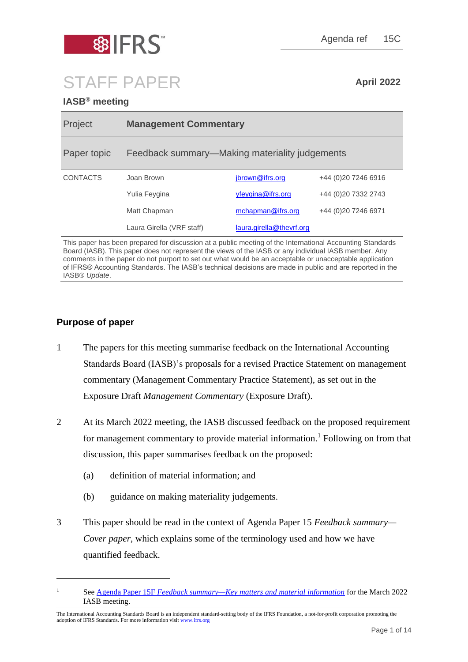

Agenda ref 15C

# STAFF PAPER **April 2022**

# **IASB® meeting**

| Project         | <b>Management Commentary</b>                   |                          |                      |
|-----------------|------------------------------------------------|--------------------------|----------------------|
| Paper topic     | Feedback summary—Making materiality judgements |                          |                      |
| <b>CONTACTS</b> | Joan Brown                                     | jbrown@ifrs.org          | +44 (0) 20 7246 6916 |
|                 | Yulia Feygina                                  | yfeygina@ifrs.org        | +44 (0)20 7332 2743  |
|                 | Matt Chapman                                   | mchapman@ifrs.org        | +44 (0) 20 7246 6971 |
|                 | Laura Girella (VRF staff)                      | laura.girella@thevrf.org |                      |

This paper has been prepared for discussion at a public meeting of the International Accounting Standards Board (IASB). This paper does not represent the views of the IASB or any individual IASB member. Any comments in the paper do not purport to set out what would be an acceptable or unacceptable application of IFRS® Accounting Standards. The IASB's technical decisions are made in public and are reported in the IASB® *Update*.

# **Purpose of paper**

- 1 The papers for this meeting summarise feedback on the International Accounting Standards Board (IASB)'s proposals for a revised Practice Statement on management commentary (Management Commentary Practice Statement), as set out in the Exposure Draft *Management Commentary* (Exposure Draft).
- 2 At its March 2022 meeting, the IASB discussed feedback on the proposed requirement for management commentary to provide material information.<sup>1</sup> Following on from that discussion, this paper summarises feedback on the proposed:
	- (a) definition of material information; and
	- (b) guidance on making materiality judgements.
- 3 This paper should be read in the context of Agenda Paper 15 *Feedback summary— Cover paper*, which explains some of the terminology used and how we have quantified feedback.

<sup>1</sup> See Agenda Paper 15F *[Feedback summary—Key matters and material information](https://www.ifrs.org/content/dam/ifrs/meetings/2022/march/iasb/ap15f-key-matters-and-material-information.pdf)* for the March 2022 IASB meeting.

The International Accounting Standards Board is an independent standard-setting body of the IFRS Foundation, a not-for-profit corporation promoting the adoption of IFRS Standards. For more information visi[t www.ifrs.org](http://www.ifrs.org/)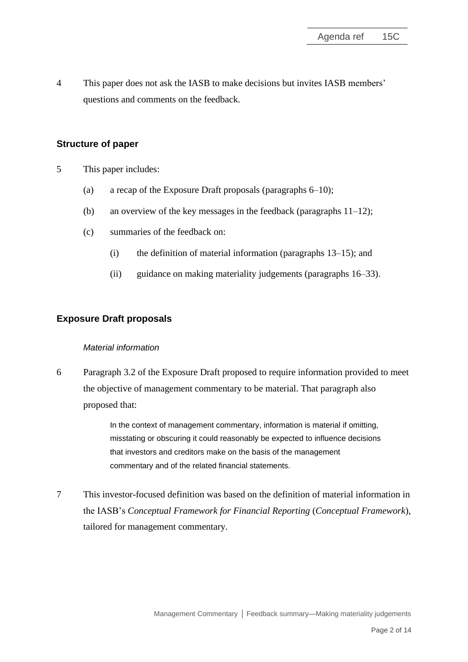4 This paper does not ask the IASB to make decisions but invites IASB members' questions and comments on the feedback.

## **Structure of paper**

- 5 This paper includes:
	- (a) a recap of the Exposure Draft proposals (paragraphs [6](#page-1-0)[–10\)](#page-2-0);
	- (b) an overview of the key messages in the feedback (paragraphs  $11-12$  $11-12$ );
	- (c) summaries of the feedback on:
		- (i) the definition of material information (paragraphs [13–](#page-4-0)[15\)](#page-4-1); and
		- (ii) guidance on making materiality judgements (paragraphs [16–](#page-5-0)[33\)](#page-12-0).

## **Exposure Draft proposals**

#### *Material information*

<span id="page-1-0"></span>6 Paragraph 3.2 of the Exposure Draft proposed to require information provided to meet the objective of management commentary to be material. That paragraph also proposed that:

> In the context of management commentary, information is material if omitting, misstating or obscuring it could reasonably be expected to influence decisions that investors and creditors make on the basis of the management commentary and of the related financial statements.

7 This investor-focused definition was based on the definition of material information in the IASB's *Conceptual Framework for Financial Reporting* (*Conceptual Framework*), tailored for management commentary.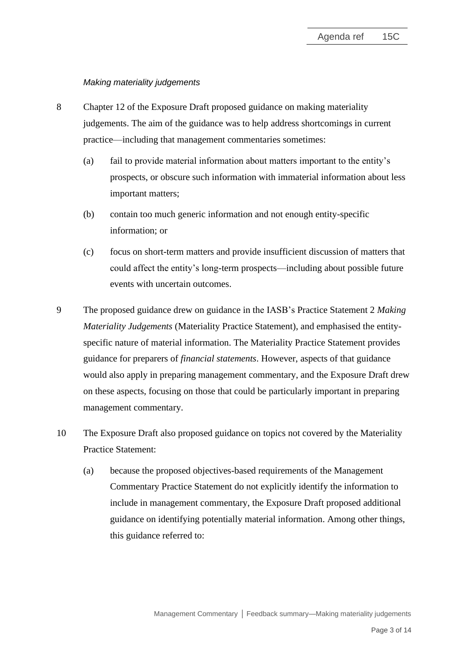#### *Making materiality judgements*

- 8 Chapter 12 of the Exposure Draft proposed guidance on making materiality judgements. The aim of the guidance was to help address shortcomings in current practice—including that management commentaries sometimes:
	- (a) fail to provide material information about matters important to the entity's prospects, or obscure such information with immaterial information about less important matters;
	- (b) contain too much generic information and not enough entity-specific information; or
	- (c) focus on short-term matters and provide insufficient discussion of matters that could affect the entity's long-term prospects—including about possible future events with uncertain outcomes.
- 9 The proposed guidance drew on guidance in the IASB's Practice Statement 2 *Making Materiality Judgements* (Materiality Practice Statement), and emphasised the entityspecific nature of material information. The Materiality Practice Statement provides guidance for preparers of *financial statements*. However, aspects of that guidance would also apply in preparing management commentary, and the Exposure Draft drew on these aspects, focusing on those that could be particularly important in preparing management commentary.
- <span id="page-2-0"></span>10 The Exposure Draft also proposed guidance on topics not covered by the Materiality Practice Statement:
	- (a) because the proposed objectives-based requirements of the Management Commentary Practice Statement do not explicitly identify the information to include in management commentary, the Exposure Draft proposed additional guidance on identifying potentially material information. Among other things, this guidance referred to: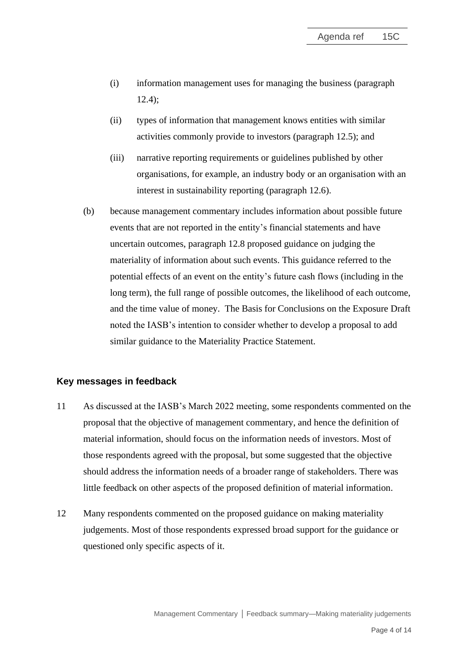- (i) information management uses for managing the business (paragraph 12.4);
- (ii) types of information that management knows entities with similar activities commonly provide to investors (paragraph 12.5); and
- (iii) narrative reporting requirements or guidelines published by other organisations, for example, an industry body or an organisation with an interest in sustainability reporting (paragraph 12.6).
- <span id="page-3-2"></span>(b) because management commentary includes information about possible future events that are not reported in the entity's financial statements and have uncertain outcomes, paragraph 12.8 proposed guidance on judging the materiality of information about such events. This guidance referred to the potential effects of an event on the entity's future cash flows (including in the long term), the full range of possible outcomes, the likelihood of each outcome, and the time value of money. The Basis for Conclusions on the Exposure Draft noted the IASB's intention to consider whether to develop a proposal to add similar guidance to the Materiality Practice Statement.

### **Key messages in feedback**

- <span id="page-3-0"></span>11 As discussed at the IASB's March 2022 meeting, some respondents commented on the proposal that the objective of management commentary, and hence the definition of material information, should focus on the information needs of investors. Most of those respondents agreed with the proposal, but some suggested that the objective should address the information needs of a broader range of stakeholders. There was little feedback on other aspects of the proposed definition of material information.
- <span id="page-3-1"></span>12 Many respondents commented on the proposed guidance on making materiality judgements. Most of those respondents expressed broad support for the guidance or questioned only specific aspects of it.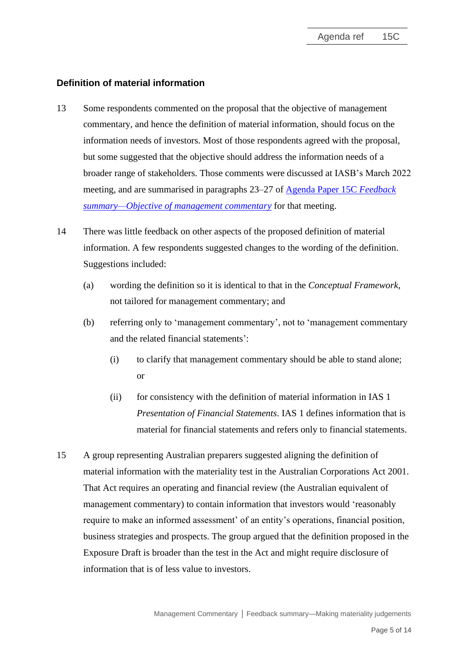## **Definition of material information**

- <span id="page-4-0"></span>13 Some respondents commented on the proposal that the objective of management commentary, and hence the definition of material information, should focus on the information needs of investors. Most of those respondents agreed with the proposal, but some suggested that the objective should address the information needs of a broader range of stakeholders. Those comments were discussed at IASB's March 2022 meeting, and are summarised in paragraphs 23–27 of [Agenda Paper 15C](https://www.ifrs.org/content/dam/ifrs/meetings/2022/march/iasb/ap15c-objective-of-management-commentary.pdf) *Feedback [summary—Objective of management commentary](https://www.ifrs.org/content/dam/ifrs/meetings/2022/march/iasb/ap15c-objective-of-management-commentary.pdf)* for that meeting.
- 14 There was little feedback on other aspects of the proposed definition of material information. A few respondents suggested changes to the wording of the definition. Suggestions included:
	- (a) wording the definition so it is identical to that in the *Conceptual Framework*, not tailored for management commentary; and
	- (b) referring only to 'management commentary', not to 'management commentary and the related financial statements':
		- (i) to clarify that management commentary should be able to stand alone; or
		- (ii) for consistency with the definition of material information in IAS 1 *Presentation of Financial Statements*. IAS 1 defines information that is material for financial statements and refers only to financial statements.
- <span id="page-4-1"></span>15 A group representing Australian preparers suggested aligning the definition of material information with the materiality test in the Australian Corporations Act 2001. That Act requires an operating and financial review (the Australian equivalent of management commentary) to contain information that investors would 'reasonably require to make an informed assessment' of an entity's operations, financial position, business strategies and prospects. The group argued that the definition proposed in the Exposure Draft is broader than the test in the Act and might require disclosure of information that is of less value to investors.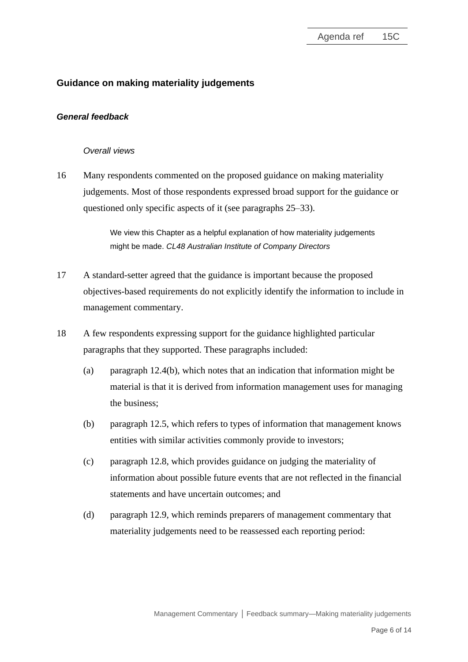# **Guidance on making materiality judgements**

#### *General feedback*

#### *Overall views*

<span id="page-5-0"></span>16 Many respondents commented on the proposed guidance on making materiality judgements. Most of those respondents expressed broad support for the guidance or questioned only specific aspects of it (see paragraphs [25–](#page-8-0)[33\)](#page-12-0).

> We view this Chapter as a helpful explanation of how materiality judgements might be made. *CL48 Australian Institute of Company Directors*

- 17 A standard-setter agreed that the guidance is important because the proposed objectives-based requirements do not explicitly identify the information to include in management commentary.
- <span id="page-5-2"></span><span id="page-5-1"></span>18 A few respondents expressing support for the guidance highlighted particular paragraphs that they supported. These paragraphs included:
	- (a) paragraph 12.4(b), which notes that an indication that information might be material is that it is derived from information management uses for managing the business;
	- (b) paragraph 12.5, which refers to types of information that management knows entities with similar activities commonly provide to investors;
	- (c) paragraph 12.8, which provides guidance on judging the materiality of information about possible future events that are not reflected in the financial statements and have uncertain outcomes; and
	- (d) paragraph 12.9, which reminds preparers of management commentary that materiality judgements need to be reassessed each reporting period: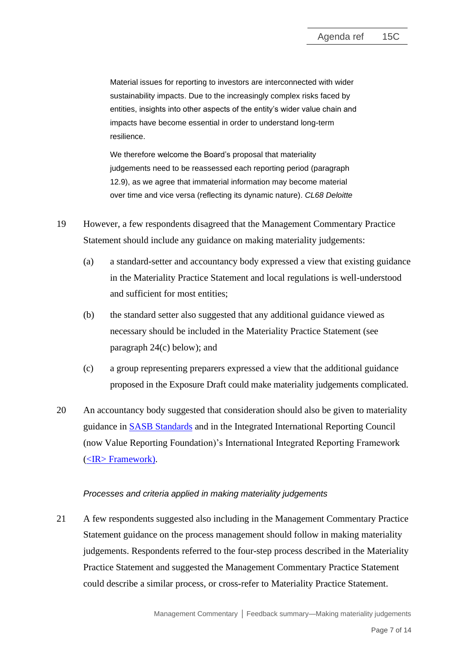Material issues for reporting to investors are interconnected with wider sustainability impacts. Due to the increasingly complex risks faced by entities, insights into other aspects of the entity's wider value chain and impacts have become essential in order to understand long-term resilience.

We therefore welcome the Board's proposal that materiality judgements need to be reassessed each reporting period (paragraph 12.9), as we agree that immaterial information may become material over time and vice versa (reflecting its dynamic nature). *CL68 Deloitte*

- 19 However, a few respondents disagreed that the Management Commentary Practice Statement should include any guidance on making materiality judgements:
	- (a) a standard-setter and accountancy body expressed a view that existing guidance in the Materiality Practice Statement and local regulations is well-understood and sufficient for most entities;
	- (b) the standard setter also suggested that any additional guidance viewed as necessary should be included in the Materiality Practice Statement (see paragraph [24\(c\)](#page-8-1) below); and
	- (c) a group representing preparers expressed a view that the additional guidance proposed in the Exposure Draft could make materiality judgements complicated.
- 20 An accountancy body suggested that consideration should also be given to materiality guidance in [SASB Standards](https://www.sasb.org/standards/) and in the Integrated International Reporting Council (now Value Reporting Foundation)'s International Integrated Reporting Framework [\(<IR> Framework\)](https://www.integratedreporting.org/wp-content/uploads/2021/01/InternationalIntegratedReportingFramework.pdf).

### *Processes and criteria applied in making materiality judgements*

21 A few respondents suggested also including in the Management Commentary Practice Statement guidance on the process management should follow in making materiality judgements. Respondents referred to the four-step process described in the Materiality Practice Statement and suggested the Management Commentary Practice Statement could describe a similar process, or cross-refer to Materiality Practice Statement.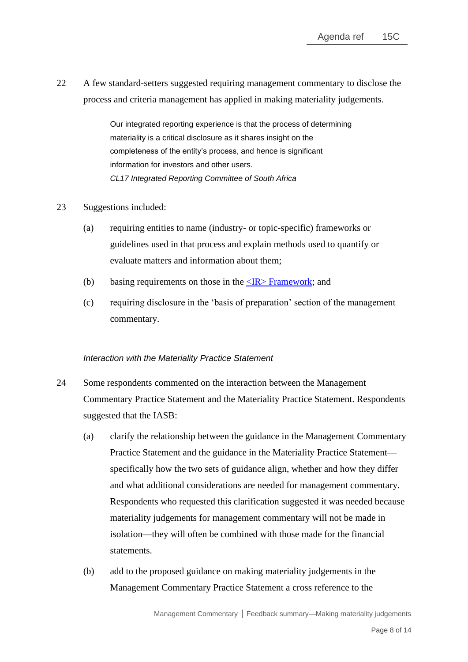22 A few standard-setters suggested requiring management commentary to disclose the process and criteria management has applied in making materiality judgements.

> Our integrated reporting experience is that the process of determining materiality is a critical disclosure as it shares insight on the completeness of the entity's process, and hence is significant information for investors and other users. *CL17 Integrated Reporting Committee of South Africa*

- 23 Suggestions included:
	- (a) requiring entities to name (industry- or topic-specific) frameworks or guidelines used in that process and explain methods used to quantify or evaluate matters and information about them;
	- (b) basing requirements on those in the  $\langle IR \rangle$  Framework; and
	- (c) requiring disclosure in the 'basis of preparation' section of the management commentary.

#### *Interaction with the Materiality Practice Statement*

- 24 Some respondents commented on the interaction between the Management Commentary Practice Statement and the Materiality Practice Statement. Respondents suggested that the IASB:
	- (a) clarify the relationship between the guidance in the Management Commentary Practice Statement and the guidance in the Materiality Practice Statement specifically how the two sets of guidance align, whether and how they differ and what additional considerations are needed for management commentary. Respondents who requested this clarification suggested it was needed because materiality judgements for management commentary will not be made in isolation—they will often be combined with those made for the financial statements.
	- (b) add to the proposed guidance on making materiality judgements in the Management Commentary Practice Statement a cross reference to the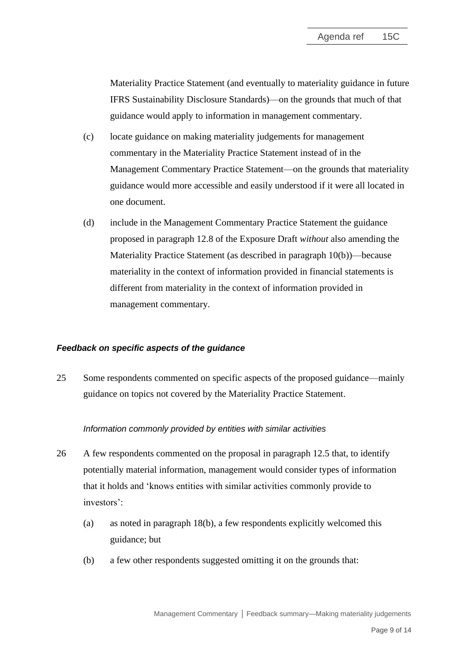Materiality Practice Statement (and eventually to materiality guidance in future IFRS Sustainability Disclosure Standards)—on the grounds that much of that guidance would apply to information in management commentary.

- <span id="page-8-1"></span>(c) locate guidance on making materiality judgements for management commentary in the Materiality Practice Statement instead of in the Management Commentary Practice Statement—on the grounds that materiality guidance would more accessible and easily understood if it were all located in one document.
- (d) include in the Management Commentary Practice Statement the guidance proposed in paragraph 12.8 of the Exposure Draft *without* also amending the Materiality Practice Statement (as described in paragraph [10\(b\)\)](#page-3-2)—because materiality in the context of information provided in financial statements is different from materiality in the context of information provided in management commentary.

#### *Feedback on specific aspects of the guidance*

<span id="page-8-0"></span>25 Some respondents commented on specific aspects of the proposed guidance—mainly guidance on topics not covered by the Materiality Practice Statement.

### *Information commonly provided by entities with similar activities*

- 26 A few respondents commented on the proposal in paragraph 12.5 that, to identify potentially material information, management would consider types of information that it holds and 'knows entities with similar activities commonly provide to investors':
	- (a) as noted in paragraph [18\(b\),](#page-5-1) a few respondents explicitly welcomed this guidance; but
	- (b) a few other respondents suggested omitting it on the grounds that: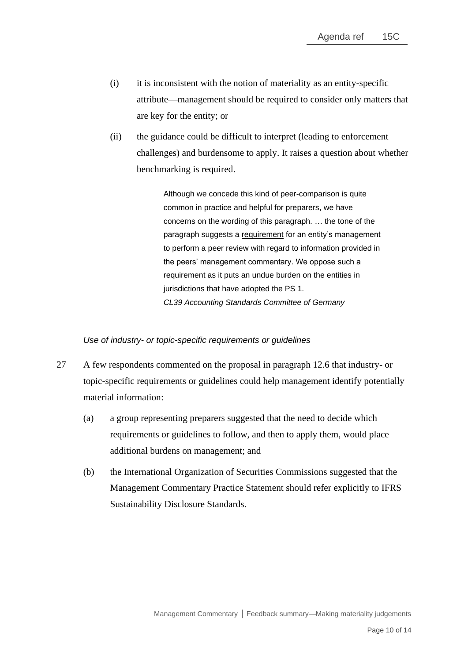- (i) it is inconsistent with the notion of materiality as an entity-specific attribute—management should be required to consider only matters that are key for the entity; or
- (ii) the guidance could be difficult to interpret (leading to enforcement challenges) and burdensome to apply. It raises a question about whether benchmarking is required.

Although we concede this kind of peer-comparison is quite common in practice and helpful for preparers, we have concerns on the wording of this paragraph. … the tone of the paragraph suggests a requirement for an entity's management to perform a peer review with regard to information provided in the peers' management commentary. We oppose such a requirement as it puts an undue burden on the entities in jurisdictions that have adopted the PS 1. *CL39 Accounting Standards Committee of Germany*

#### *Use of industry- or topic-specific requirements or guidelines*

- 27 A few respondents commented on the proposal in paragraph 12.6 that industry- or topic-specific requirements or guidelines could help management identify potentially material information:
	- (a) a group representing preparers suggested that the need to decide which requirements or guidelines to follow, and then to apply them, would place additional burdens on management; and
	- (b) the International Organization of Securities Commissions suggested that the Management Commentary Practice Statement should refer explicitly to IFRS Sustainability Disclosure Standards.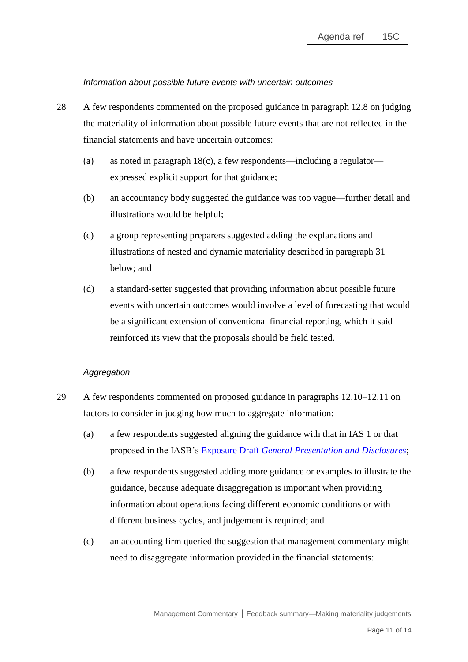*Information about possible future events with uncertain outcomes*

- 28 A few respondents commented on the proposed guidance in paragraph 12.8 on judging the materiality of information about possible future events that are not reflected in the financial statements and have uncertain outcomes:
	- (a) as noted in paragraph  $18(c)$ , a few respondents—including a regulator expressed explicit support for that guidance;
	- (b) an accountancy body suggested the guidance was too vague—further detail and illustrations would be helpful;
	- (c) a group representing preparers suggested adding the explanations and illustrations of nested and dynamic materiality described in paragraph [31](#page-12-1) below; and
	- (d) a standard-setter suggested that providing information about possible future events with uncertain outcomes would involve a level of forecasting that would be a significant extension of conventional financial reporting, which it said reinforced its view that the proposals should be field tested.

### *Aggregation*

- 29 A few respondents commented on proposed guidance in paragraphs 12.10–12.11 on factors to consider in judging how much to aggregate information:
	- (a) a few respondents suggested aligning the guidance with that in IAS 1 or that proposed in the IASB's Exposure Draft *[General Presentation and Disclosures](https://www.ifrs.org/content/dam/ifrs/project/primary-financial-statements/exposure-draft/ed-general-presentation-disclosures.pdf)*;
	- (b) a few respondents suggested adding more guidance or examples to illustrate the guidance, because adequate disaggregation is important when providing information about operations facing different economic conditions or with different business cycles, and judgement is required; and
	- (c) an accounting firm queried the suggestion that management commentary might need to disaggregate information provided in the financial statements: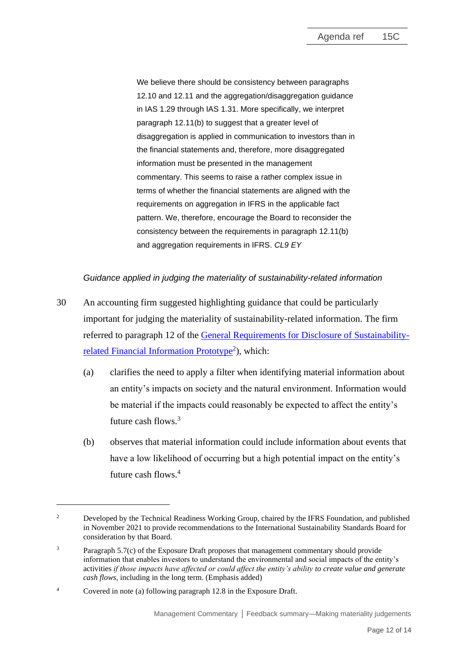We believe there should be consistency between paragraphs 12.10 and 12.11 and the aggregation/disaggregation guidance in IAS 1.29 through IAS 1.31. More specifically, we interpret paragraph 12.11(b) to suggest that a greater level of disaggregation is applied in communication to investors than in the financial statements and, therefore, more disaggregated information must be presented in the management commentary. This seems to raise a rather complex issue in terms of whether the financial statements are aligned with the requirements on aggregation in IFRS in the applicable fact pattern. We, therefore, encourage the Board to reconsider the consistency between the requirements in paragraph 12.11(b) and aggregation requirements in IFRS. *CL9 EY*

## *Guidance applied in judging the materiality of sustainability-related information*

- 30 An accounting firm suggested highlighting guidance that could be particularly important for judging the materiality of sustainability-related information. The firm referred to paragraph 12 of the [General Requirements for Disclosure of Sustainability](https://www.ifrs.org/content/dam/ifrs/groups/trwg/trwg-general-requirements-prototype.pdf)[related Financial Information Prototype](https://www.ifrs.org/content/dam/ifrs/groups/trwg/trwg-general-requirements-prototype.pdf)<sup>2</sup>), which:
	- (a) clarifies the need to apply a filter when identifying material information about an entity's impacts on society and the natural environment. Information would be material if the impacts could reasonably be expected to affect the entity's future cash flows.<sup>3</sup>
	- (b) observes that material information could include information about events that have a low likelihood of occurring but a high potential impact on the entity's future cash flows.<sup>4</sup>

<sup>&</sup>lt;sup>2</sup> Developed by the Technical Readiness Working Group, chaired by the IFRS Foundation, and published in November 2021 to provide recommendations to the International Sustainability Standards Board for consideration by that Board.

<sup>&</sup>lt;sup>3</sup> Paragraph 5.7(c) of the Exposure Draft proposes that management commentary should provide information that enables investors to understand the environmental and social impacts of the entity's activities *if those impacts have affected or could affect the entity's ability to create value and generate cash flows*, including in the long term. (Emphasis added)

<sup>4</sup> Covered in note (a) following paragraph 12.8 in the Exposure Draft.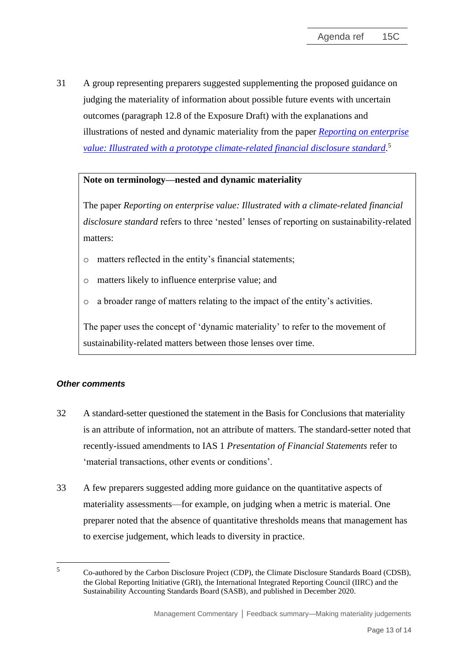<span id="page-12-1"></span>31 A group representing preparers suggested supplementing the proposed guidance on judging the materiality of information about possible future events with uncertain outcomes (paragraph 12.8 of the Exposure Draft) with the explanations and illustrations of nested and dynamic materiality from the paper *[Reporting on enterprise](https://29kjwb3armds2g3gi4lq2sx1-wpengine.netdna-ssl.com/wp-content/uploads/Reporting-on-enterprise-value_climate-prototype_Dec20.pdf)  [value: Illustrated with a prototype climate-related financial disclosure standard](https://29kjwb3armds2g3gi4lq2sx1-wpengine.netdna-ssl.com/wp-content/uploads/Reporting-on-enterprise-value_climate-prototype_Dec20.pdf)*. 5

## **Note on terminology—nested and dynamic materiality**

The paper *Reporting on enterprise value: Illustrated with a climate-related financial disclosure standard* refers to three 'nested' lenses of reporting on sustainability-related matters:

- o matters reflected in the entity's financial statements;
- o matters likely to influence enterprise value; and
- o a broader range of matters relating to the impact of the entity's activities.

The paper uses the concept of 'dynamic materiality' to refer to the movement of sustainability-related matters between those lenses over time.

### *Other comments*

- 32 A standard-setter questioned the statement in the Basis for Conclusions that materiality is an attribute of information, not an attribute of matters. The standard-setter noted that recently-issued amendments to IAS 1 *Presentation of Financial Statements* refer to 'material transactions, other events or conditions'.
- <span id="page-12-0"></span>33 A few preparers suggested adding more guidance on the quantitative aspects of materiality assessments—for example, on judging when a metric is material. One preparer noted that the absence of quantitative thresholds means that management has to exercise judgement, which leads to diversity in practice.

<sup>5</sup> Co-authored by the Carbon Disclosure Project (CDP), the Climate Disclosure Standards Board (CDSB), the Global Reporting Initiative (GRI), the International Integrated Reporting Council (IIRC) and the Sustainability Accounting Standards Board (SASB), and published in December 2020.